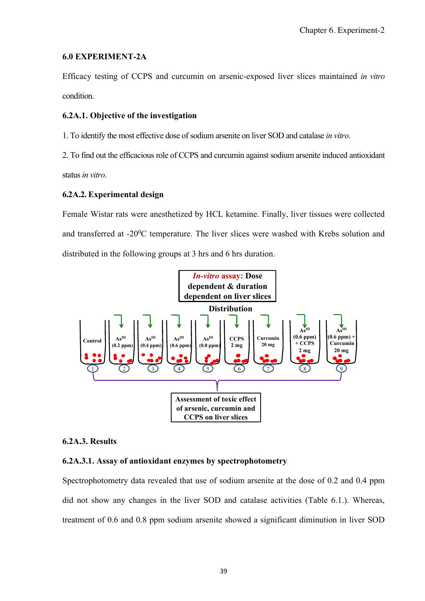## **6.0 EXPERIMENT-2A**

Efficacy testing of CCPS and curcumin on arsenic-exposed liver slices maintained *in vitro* condition.

# **6.2A.1. Objective of the investigation**

1. To identify the most effective dose of sodium arsenite on liver SOD and catalase *in vitro*.

2. To find out the efficacious role of CCPS and curcumin against sodium arsenite induced antioxidant status*in vitro*.

# **6.2A.2. Experimental design**

Female Wistar rats were anesthetized by HCL ketamine. Finally, liver tissues were collected and transferred at -20<sup>0</sup>C temperature. The liver slices were washed with Krebs solution and distributed in the following groups at 3 hrs and 6 hrs duration.



### **6.2A.3. Results**

# **6.2A.3.1. Assay of antioxidant enzymes by spectrophotometry**

Spectrophotometry data revealed that use of sodium arsenite at the dose of 0.2 and 0.4 ppm did not show any changes in the liver SOD and catalase activities (Table 6.1.). Whereas, treatment of 0.6 and 0.8 ppm sodium arsenite showed a significant diminution in liver SOD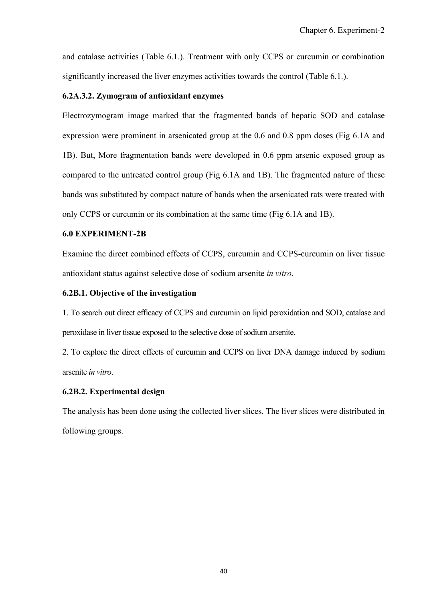and catalase activities (Table 6.1.). Treatment with only CCPS or curcumin or combination significantly increased the liver enzymes activities towards the control (Table 6.1.).

## **6.2A.3.2. Zymogram of antioxidant enzymes**

Electrozymogram image marked that the fragmented bands of hepatic SOD and catalase expression were prominent in arsenicated group at the 0.6 and 0.8 ppm doses (Fig 6.1A and 1B). But, More fragmentation bands were developed in 0.6 ppm arsenic exposed group as compared to the untreated control group (Fig 6.1A and 1B). The fragmented nature of these bands was substituted by compact nature of bands when the arsenicated rats were treated with only CCPS or curcumin or its combination at the same time (Fig 6.1A and 1B).

## **6.0 EXPERIMENT-2B**

Examine the direct combined effects of CCPS, curcumin and CCPS-curcumin on liver tissue antioxidant status against selective dose of sodium arsenite *in vitro*.

## **6.2B.1. Objective of the investigation**

1. To search out direct efficacy of CCPS and curcumin on lipid peroxidation and SOD, catalase and peroxidase in liver tissue exposed to the selective dose of sodium arsenite.

2. To explore the direct effects of curcumin and CCPS on liver DNA damage induced by sodium arsenite *in vitro*.

# **6.2B.2. Experimental design**

The analysis has been done using the collected liver slices. The liver slices were distributed in following groups.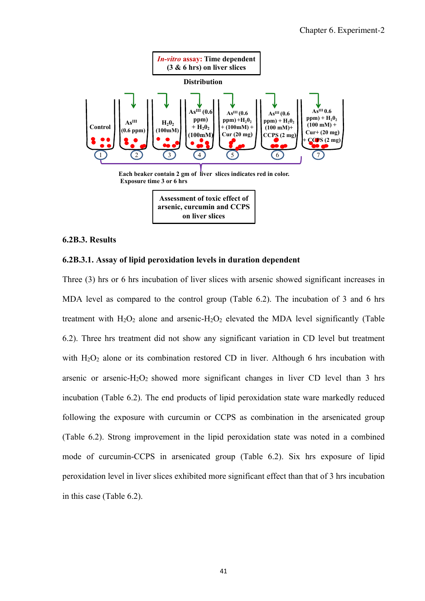

### **6.2B.3. Results**

### **6.2B.3.1. Assay of lipid peroxidation levels in duration dependent**

Three (3) hrs or 6 hrs incubation of liver slices with arsenic showed significant increases in MDA level as compared to the control group (Table 6.2). The incubation of 3 and 6 hrs treatment with  $H_2O_2$  alone and arsenic- $H_2O_2$  elevated the MDA level significantly (Table 6.2). Three hrs treatment did not show any significant variation in CD level but treatment with H<sub>2</sub>O<sub>2</sub> alone or its combination restored CD in liver. Although 6 hrs incubation with arsenic or arsenic- $H_2O_2$  showed more significant changes in liver CD level than 3 hrs incubation (Table 6.2). The end products of lipid peroxidation state ware markedly reduced following the exposure with curcumin or CCPS as combination in the arsenicated group (Table 6.2). Strong improvement in the lipid peroxidation state was noted in a combined mode of curcumin-CCPS in arsenicated group (Table 6.2). Six hrs exposure of lipid peroxidation level in liver slices exhibited more significant effect than that of 3 hrs incubation in this case (Table 6.2).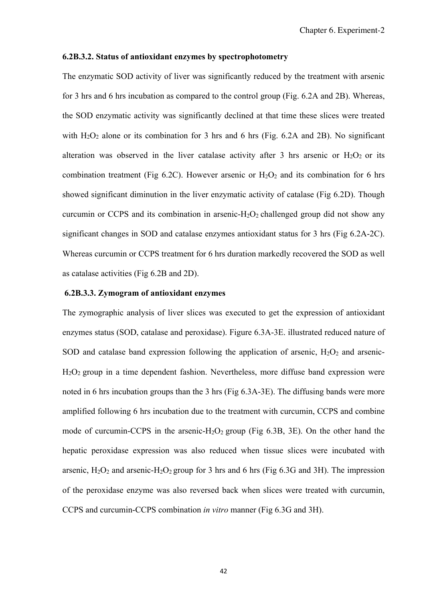#### **6.2B.3.2. Status of antioxidant enzymes by spectrophotometry**

The enzymatic SOD activity of liver was significantly reduced by the treatment with arsenic for 3 hrs and 6 hrs incubation as compared to the control group (Fig. 6.2A and 2B). Whereas, the SOD enzymatic activity was significantly declined at that time these slices were treated with  $H_2O_2$  alone or its combination for 3 hrs and 6 hrs (Fig. 6.2A and 2B). No significant alteration was observed in the liver catalase activity after 3 hrs arsenic or  $H_2O_2$  or its combination treatment (Fig 6.2C). However arsenic or  $H_2O_2$  and its combination for 6 hrs showed significant diminution in the liver enzymatic activity of catalase (Fig 6.2D). Though curcumin or CCPS and its combination in arsenic- $H_2O_2$  challenged group did not show any significant changes in SOD and catalase enzymes antioxidant status for 3 hrs (Fig 6.2A-2C). Whereas curcumin or CCPS treatment for 6 hrs duration markedly recovered the SOD as well as catalase activities (Fig 6.2B and 2D).

### **6.2B.3.3. Zymogram of antioxidant enzymes**

The zymographic analysis of liver slices was executed to get the expression of antioxidant enzymes status (SOD, catalase and peroxidase). Figure 6.3A-3E. illustrated reduced nature of SOD and catalase band expression following the application of arsenic,  $H_2O_2$  and arsenic-H2O2 group in a time dependent fashion. Nevertheless, more diffuse band expression were noted in 6 hrs incubation groups than the 3 hrs (Fig 6.3A-3E). The diffusing bands were more amplified following 6 hrs incubation due to the treatment with curcumin, CCPS and combine mode of curcumin-CCPS in the arsenic- $H_2O_2$  group (Fig 6.3B, 3E). On the other hand the hepatic peroxidase expression was also reduced when tissue slices were incubated with arsenic,  $H_2O_2$  and arsenic- $H_2O_2$  group for 3 hrs and 6 hrs (Fig 6.3G and 3H). The impression of the peroxidase enzyme was also reversed back when slices were treated with curcumin, CCPS and curcumin-CCPS combination *in vitro* manner (Fig 6.3G and 3H).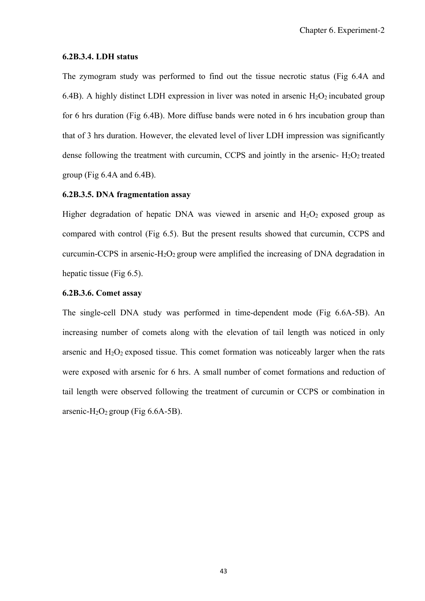#### **6.2B.3.4. LDH status**

The zymogram study was performed to find out the tissue necrotic status (Fig 6.4A and 6.4B). A highly distinct LDH expression in liver was noted in arsenic  $H_2O_2$  incubated group for 6 hrs duration (Fig 6.4B). More diffuse bands were noted in 6 hrs incubation group than that of 3 hrs duration. However, the elevated level of liver LDH impression was significantly dense following the treatment with curcumin, CCPS and jointly in the arsenic-  $H_2O_2$  treated group (Fig 6.4A and 6.4B).

## **6.2B.3.5. DNA fragmentation assay**

Higher degradation of hepatic DNA was viewed in arsenic and  $H_2O_2$  exposed group as compared with control (Fig 6.5). But the present results showed that curcumin, CCPS and curcumin-CCPS in arsenic- $H_2O_2$  group were amplified the increasing of DNA degradation in hepatic tissue (Fig 6.5).

### **6.2B.3.6. Comet assay**

The single-cell DNA study was performed in time-dependent mode (Fig 6.6A-5B). An increasing number of comets along with the elevation of tail length was noticed in only arsenic and  $H_2O_2$  exposed tissue. This comet formation was noticeably larger when the rats were exposed with arsenic for 6 hrs. A small number of comet formations and reduction of tail length were observed following the treatment of curcumin or CCPS or combination in arsenic-H<sub>2</sub>O<sub>2</sub> group (Fig  $6.6A-5B$ ).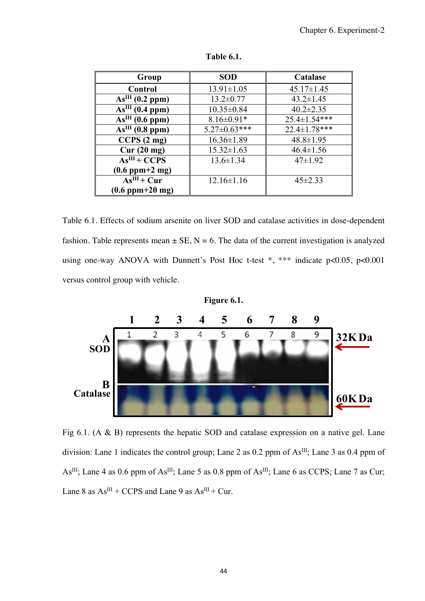| Group                           | <b>SOD</b>          | Catalase         |  |
|---------------------------------|---------------------|------------------|--|
| <b>Control</b>                  | $13.91 \pm 1.05$    | $45.17 \pm 1.45$ |  |
| As <sup>III</sup> (0.2 ppm)     | $13.2 \pm 0.77$     | $43.2 \pm 1.45$  |  |
| As <sup>III</sup> (0.4 ppm)     | $10.35 \pm 0.84$    | $40.2 \pm 2.35$  |  |
| As <sup>III</sup> (0.6 ppm)     | $8.16 \pm 0.91*$    | 25.4±1.54***     |  |
| As <sup>III</sup> (0.8 ppm)     | $5.27 \pm 0.63$ *** | 22.4±1.78***     |  |
| CCPS(2mg)                       | $16.36 \pm 1.89$    | $48.8 \pm 1.95$  |  |
| Cur(20 mg)                      | $15.32 \pm 1.63$    | $46.4 \pm 1.56$  |  |
| $AsIII + CCPS$                  | $13.6 \pm 1.34$     | $47 \pm 1.92$    |  |
| $(0.6~\text{ppm}+2~\text{mg})$  |                     |                  |  |
| $AsIII + Cur$                   | $12.16 \pm 1.16$    | $45 \pm 2.33$    |  |
| $(0.6~\text{ppm}+20~\text{mg})$ |                     |                  |  |

**Table 6.1.** 

Table 6.1. Effects of sodium arsenite on liver SOD and catalase activities in dose-dependent fashion. Table represents mean  $\pm$  SE, N = 6. The data of the current investigation is analyzed using one-way ANOVA with Dunnett's Post Hoc t-test \*, \*\*\* indicate p<0.05, p<0.001 versus control group with vehicle.



**Figure 6.1.** 

Fig 6.1. (A & B) represents the hepatic SOD and catalase expression on a native gel. Lane division: Lane 1 indicates the control group; Lane 2 as 0.2 ppm of As<sup>III</sup>; Lane 3 as 0.4 ppm of As<sup>III</sup>; Lane 4 as 0.6 ppm of As<sup>III</sup>; Lane 5 as 0.8 ppm of As<sup>III</sup>; Lane 6 as CCPS; Lane 7 as Cur; Lane 8 as  $As^{III}$  + CCPS and Lane 9 as  $As^{III}$  + Cur.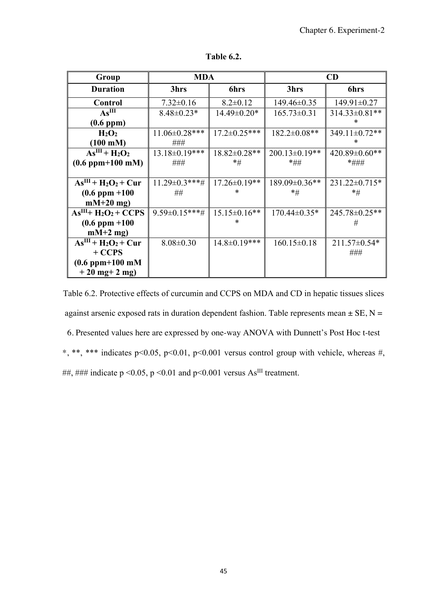| Group                 | <b>MDA</b>           |                     | CD                   |                      |
|-----------------------|----------------------|---------------------|----------------------|----------------------|
| <b>Duration</b>       | 3hrs                 | <b>6hrs</b>         | 3hrs                 | 6hrs                 |
| Control               | $7.32 \pm 0.16$      | $8.2 \pm 0.12$      | $149.46 \pm 0.35$    | 149.91±0.27          |
| As <sup>III</sup>     | $8.48 \pm 0.23*$     | 14.49±0.20*         | $165.73 \pm 0.31$    | $314.33 \pm 0.81$ ** |
| (0.6~ppm)             |                      |                     |                      | ж                    |
| $H_2O_2$              | $11.06 \pm 0.28$ *** | $17.2 \pm 0.25$ *** | $182.2 \pm 0.08**$   | 349.11±0.72**        |
| $(100 \text{ mM})$    | ###                  |                     |                      | *                    |
| $AsIII + H2O2$        | $13.18 \pm 0.19$ *** | $18.82 \pm 0.28$ ** | $200.13 \pm 0.19**$  | $420.89 \pm 0.60$ ** |
| $(0.6~ppm+100~mM)$    | ###                  | $*_{\#}$            | *##                  | *###                 |
|                       |                      |                     |                      |                      |
| $AsIII + H2O2 + Cur$  | $11.29 \pm 0.3$ ***# | $17.26 \pm 0.19$ ** | $189.09 \pm 0.36$ ** | 231.22±0.715*        |
| $(0.6$ ppm $+100$     | ##                   |                     | $*_\#$               | $*_{\#}$             |
| $mM+20$ mg)           |                      |                     |                      |                      |
| $AsIII + H2O2 + CCPS$ | $9.59 \pm 0.15$ ***# | $15.15\pm0.16**$    | $170.44 \pm 0.35*$   | 245.78±0.25**        |
| $(0.6$ ppm $+100$     |                      |                     |                      | #                    |
| $mM+2$ mg)            |                      |                     |                      |                      |
| $AsIII + H2O2 + Cur$  | $8.08 \pm 0.30$      | $14.8 \pm 0.19$ *** | $160.15 \pm 0.18$    | $211.57 \pm 0.54*$   |
| $+CCPS$               |                      |                     |                      | ###                  |
| $(0.6$ ppm $+100$ mM  |                      |                     |                      |                      |
| $+20$ mg + 2 mg)      |                      |                     |                      |                      |

**Table 6.2.** 

Table 6.2. Protective effects of curcumin and CCPS on MDA and CD in hepatic tissues slices against arsenic exposed rats in duration dependent fashion. Table represents mean  $\pm$  SE, N = 6. Presented values here are expressed by one-way ANOVA with Dunnett's Post Hoc t-test \*, \*\*, \*\*\* indicates p<0.05, p<0.01, p<0.001 versus control group with vehicle, whereas #, ##, ### indicate p <0.05, p <0.01 and p <0.001 versus As<sup>III</sup> treatment.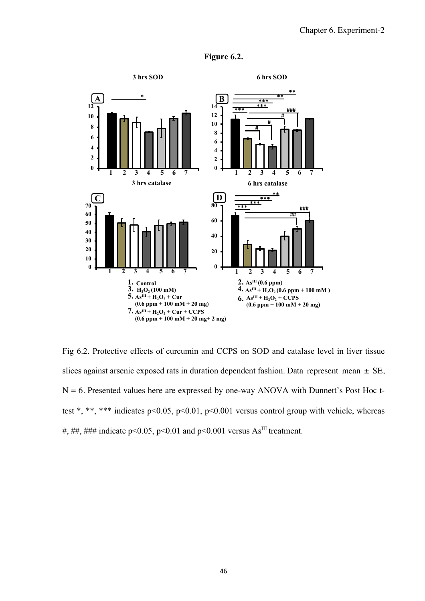

**Figure 6.2.** 

Fig 6.2. Protective effects of curcumin and CCPS on SOD and catalase level in liver tissue slices against arsenic exposed rats in duration dependent fashion. Data represent mean  $\pm$  SE,  $N = 6$ . Presented values here are expressed by one-way ANOVA with Dunnett's Post Hoc ttest \*, \*\*, \*\*\* indicates p<0.05, p<0.01, p<0.001 versus control group with vehicle, whereas #, ##, ### indicate p<0.05, p<0.01 and p<0.001 versus As<sup>III</sup> treatment.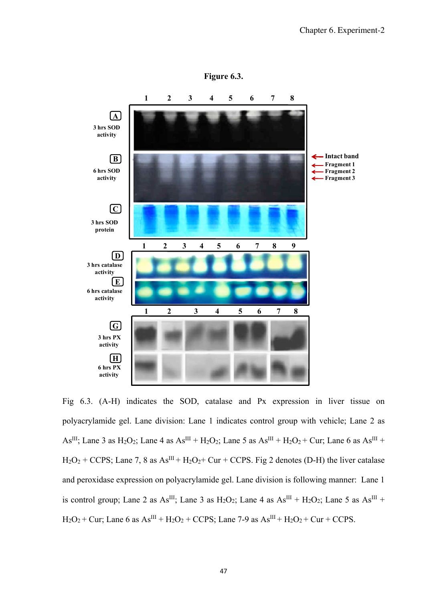

Fig 6.3. (A-H) indicates the SOD, catalase and Px expression in liver tissue on polyacrylamide gel. Lane division: Lane 1 indicates control group with vehicle; Lane 2 as As<sup>III</sup>; Lane 3 as H<sub>2</sub>O<sub>2</sub>; Lane 4 as As<sup>III</sup> + H<sub>2</sub>O<sub>2</sub>; Lane 5 as As<sup>III</sup> + H<sub>2</sub>O<sub>2</sub> + Cur; Lane 6 as As<sup>III</sup> +  $H_2O_2$  + CCPS; Lane 7, 8 as As<sup>III</sup> +  $H_2O_2$  + Cur + CCPS. Fig 2 denotes (D-H) the liver catalase and peroxidase expression on polyacrylamide gel. Lane division is following manner: Lane 1 is control group; Lane 2 as As<sup>III</sup>; Lane 3 as H<sub>2</sub>O<sub>2</sub>; Lane 4 as As<sup>III</sup> + H<sub>2</sub>O<sub>2</sub>; Lane 5 as As<sup>III</sup> +  $H_2O_2$  + Cur; Lane 6 as  $As^{III}$  +  $H_2O_2$  + CCPS; Lane 7-9 as  $As^{III}$  +  $H_2O_2$  + Cur + CCPS.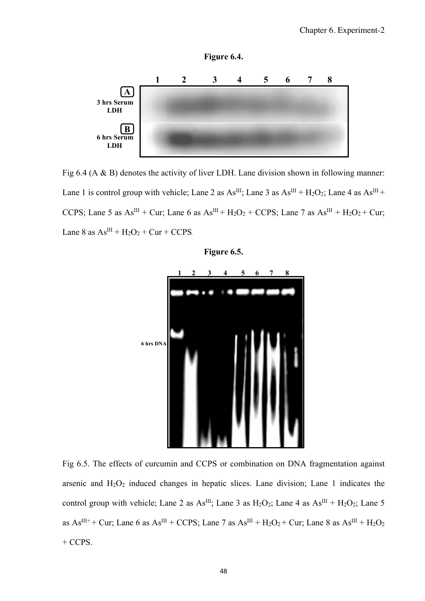

**Figure 6.4.** 

Fig 6.4 (A & B) denotes the activity of liver LDH. Lane division shown in following manner: Lane 1 is control group with vehicle; Lane 2 as  $As^{III}$ ; Lane 3 as  $As^{III} + H<sub>2</sub>O<sub>2</sub>$ ; Lane 4 as  $As^{III}$  + CCPS; Lane 5 as  $As^{III} + Cur$ ; Lane 6 as  $As^{III} + H_2O_2 + CCPS;$  Lane 7 as  $As^{III} + H_2O_2 + Cur$ ; Lane 8 as  $As^{III} + H<sub>2</sub>O<sub>2</sub> + Cur + CCPS.$ 



**Figure 6.5.** 

Fig 6.5. The effects of curcumin and CCPS or combination on DNA fragmentation against arsenic and  $H_2O_2$  induced changes in hepatic slices. Lane division; Lane 1 indicates the control group with vehicle; Lane 2 as As<sup>III</sup>; Lane 3 as  $H_2O_2$ ; Lane 4 as As<sup>III</sup> +  $H_2O_2$ ; Lane 5 as  $\text{As}^{\text{III++}}$  + Cur; Lane 6 as As<sup>III</sup> + CCPS; Lane 7 as As<sup>III</sup> + H<sub>2</sub>O<sub>2</sub> + Cur; Lane 8 as As<sup>III</sup> + H<sub>2</sub>O<sub>2</sub>  $+$  CCPS.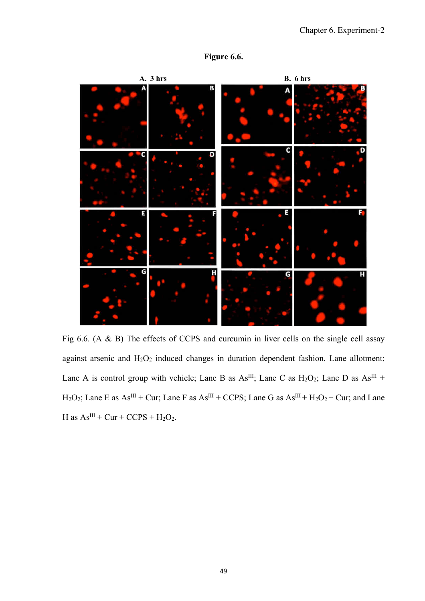



Fig 6.6. (A & B) The effects of CCPS and curcumin in liver cells on the single cell assay against arsenic and  $H_2O_2$  induced changes in duration dependent fashion. Lane allotment; Lane A is control group with vehicle; Lane B as  $As^{III}$ ; Lane C as  $H_2O_2$ ; Lane D as  $As^{III}$  +  $H_2O_2$ ; Lane E as  $As^{III} + Cur$ ; Lane F as  $As^{III} + CCPS$ ; Lane G as  $As^{III} + H_2O_2 + Cur$ ; and Lane H as  $As^{III}$  + Cur + CCPS + H<sub>2</sub>O<sub>2</sub>.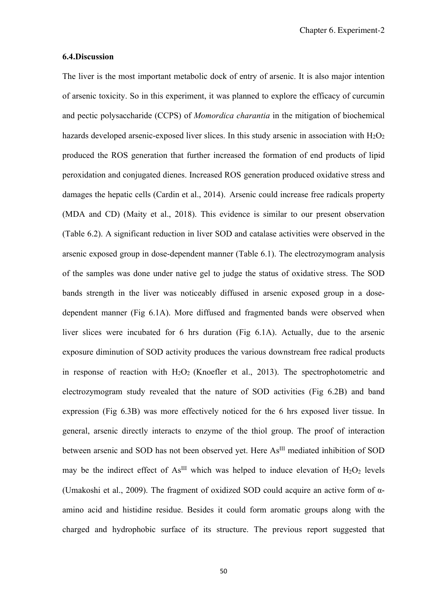#### **6.4.Discussion**

The liver is the most important metabolic dock of entry of arsenic. It is also major intention of arsenic toxicity. So in this experiment, it was planned to explore the efficacy of curcumin and pectic polysaccharide (CCPS) of *Momordica charantia* in the mitigation of biochemical hazards developed arsenic-exposed liver slices. In this study arsenic in association with  $H_2O_2$ produced the ROS generation that further increased the formation of end products of lipid peroxidation and conjugated dienes. Increased ROS generation produced oxidative stress and damages the hepatic cells (Cardin et al., 2014). Arsenic could increase free radicals property (MDA and CD) (Maity et al., 2018). This evidence is similar to our present observation (Table 6.2). A significant reduction in liver SOD and catalase activities were observed in the arsenic exposed group in dose-dependent manner (Table 6.1). The electrozymogram analysis of the samples was done under native gel to judge the status of oxidative stress. The SOD bands strength in the liver was noticeably diffused in arsenic exposed group in a dosedependent manner (Fig 6.1A). More diffused and fragmented bands were observed when liver slices were incubated for 6 hrs duration (Fig 6.1A). Actually, due to the arsenic exposure diminution of SOD activity produces the various downstream free radical products in response of reaction with  $H_2O_2$  (Knoefler et al., 2013). The spectrophotometric and electrozymogram study revealed that the nature of SOD activities (Fig 6.2B) and band expression (Fig 6.3B) was more effectively noticed for the 6 hrs exposed liver tissue. In general, arsenic directly interacts to enzyme of the thiol group. The proof of interaction between arsenic and SOD has not been observed yet. Here As<sup>III</sup> mediated inhibition of SOD may be the indirect effect of As<sup>III</sup> which was helped to induce elevation of  $H_2O_2$  levels (Umakoshi et al., 2009). The fragment of oxidized SOD could acquire an active form of αamino acid and histidine residue. Besides it could form aromatic groups along with the charged and hydrophobic surface of its structure. The previous report suggested that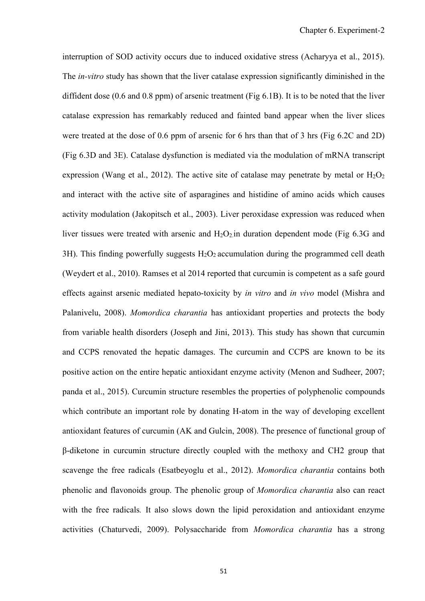interruption of SOD activity occurs due to induced oxidative stress (Acharyya et al., 2015). The *in-vitro* study has shown that the liver catalase expression significantly diminished in the diffident dose (0.6 and 0.8 ppm) of arsenic treatment (Fig 6.1B). It is to be noted that the liver catalase expression has remarkably reduced and fainted band appear when the liver slices were treated at the dose of 0.6 ppm of arsenic for 6 hrs than that of 3 hrs (Fig 6.2C and 2D) (Fig 6.3D and 3E). Catalase dysfunction is mediated via the modulation of mRNA transcript expression (Wang et al., 2012). The active site of catalase may penetrate by metal or  $H_2O_2$ and interact with the active site of asparagines and histidine of amino acids which causes activity modulation (Jakopitsch et al., 2003). Liver peroxidase expression was reduced when liver tissues were treated with arsenic and  $H_2O_2$  in duration dependent mode (Fig 6.3G and 3H). This finding powerfully suggests  $H_2O_2$  accumulation during the programmed cell death (Weydert et al., 2010). Ramses et al 2014 reported that curcumin is competent as a safe gourd effects against arsenic mediated hepato-toxicity by *in vitro* and *in vivo* model (Mishra and Palanivelu, 2008). *Momordica charantia* has antioxidant properties and protects the body from variable health disorders (Joseph and Jini, 2013). This study has shown that curcumin and CCPS renovated the hepatic damages. The curcumin and CCPS are known to be its positive action on the entire hepatic antioxidant enzyme activity (Menon and Sudheer, 2007; panda et al., 2015). Curcumin structure resembles the properties of polyphenolic compounds which contribute an important role by donating H-atom in the way of developing excellent antioxidant features of curcumin (AK and Gulcin, 2008). The presence of functional group of β-diketone in curcumin structure directly coupled with the methoxy and CH2 group that scavenge the free radicals (Esatbeyoglu et al., 2012). *Momordica charantia* contains both phenolic and flavonoids group. The phenolic group of *Momordica charantia* also can react with the free radicals*.* It also slows down the lipid peroxidation and antioxidant enzyme activities (Chaturvedi, 2009). Polysaccharide from *Momordica charantia* has a strong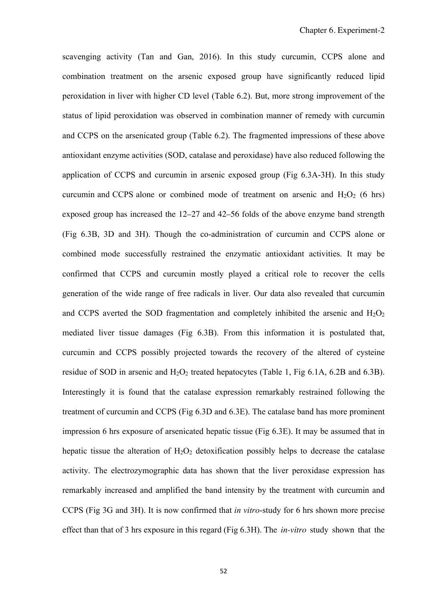scavenging activity (Tan and Gan, 2016). In this study curcumin, CCPS alone and combination treatment on the arsenic exposed group have significantly reduced lipid peroxidation in liver with higher CD level (Table 6.2). But, more strong improvement of the status of lipid peroxidation was observed in combination manner of remedy with curcumin and CCPS on the arsenicated group (Table 6.2). The fragmented impressions of these above antioxidant enzyme activities (SOD, catalase and peroxidase) have also reduced following the application of CCPS and curcumin in arsenic exposed group (Fig 6.3A-3H). In this study curcumin and CCPS alone or combined mode of treatment on arsenic and  $H_2O_2$  (6 hrs) exposed group has increased the 12–27 and 42–56 folds of the above enzyme band strength (Fig 6.3B, 3D and 3H). Though the co-administration of curcumin and CCPS alone or combined mode successfully restrained the enzymatic antioxidant activities. It may be confirmed that CCPS and curcumin mostly played a critical role to recover the cells generation of the wide range of free radicals in liver. Our data also revealed that curcumin and CCPS averted the SOD fragmentation and completely inhibited the arsenic and  $H_2O_2$ mediated liver tissue damages (Fig 6.3B). From this information it is postulated that, curcumin and CCPS possibly projected towards the recovery of the altered of cysteine residue of SOD in arsenic and  $H_2O_2$  treated hepatocytes (Table 1, Fig 6.1A, 6.2B and 6.3B). Interestingly it is found that the catalase expression remarkably restrained following the treatment of curcumin and CCPS (Fig 6.3D and 6.3E). The catalase band has more prominent impression 6 hrs exposure of arsenicated hepatic tissue (Fig 6.3E). It may be assumed that in hepatic tissue the alteration of  $H_2O_2$  detoxification possibly helps to decrease the catalase activity. The electrozymographic data has shown that the liver peroxidase expression has remarkably increased and amplified the band intensity by the treatment with curcumin and CCPS (Fig 3G and 3H). It is now confirmed that *in vitro*-study for 6 hrs shown more precise effect than that of 3 hrs exposure in this regard (Fig 6.3H). The *in-vitro* study shown that the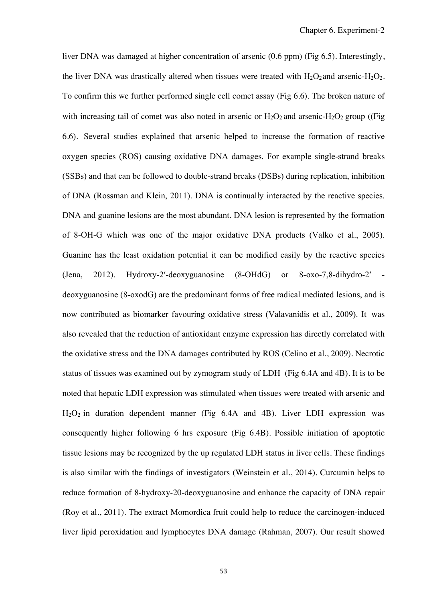liver DNA was damaged at higher concentration of arsenic (0.6 ppm) (Fig 6.5). Interestingly, the liver DNA was drastically altered when tissues were treated with  $H_2O_2$  and arsenic- $H_2O_2$ . To confirm this we further performed single cell comet assay (Fig 6.6). The broken nature of with increasing tail of comet was also noted in arsenic or  $H_2O_2$  and arsenic- $H_2O_2$  group ((Fig. 6.6). Several studies explained that arsenic helped to increase the formation of reactive oxygen species (ROS) causing oxidative DNA damages. For example single-strand breaks (SSBs) and that can be followed to double-strand breaks (DSBs) during replication, inhibition of DNA (Rossman and Klein, 2011). DNA is continually interacted by the reactive species. DNA and guanine lesions are the most abundant. DNA lesion is represented by the formation of 8-OH-G which was one of the major oxidative DNA products (Valko et al., 2005). Guanine has the least oxidation potential it can be modified easily by the reactive species (Jena, 2012). Hydroxy-2′-deoxyguanosine (8-OHdG) or 8-oxo-7,8-dihydro-2′ deoxyguanosine (8-oxodG) are the predominant forms of free radical mediated lesions, and is now contributed as biomarker favouring oxidative stress (Valavanidis et al., 2009). It was also revealed that the reduction of antioxidant enzyme expression has directly correlated with the oxidative stress and the DNA damages contributed by ROS (Celino et al., 2009). Necrotic status of tissues was examined out by zymogram study of LDH (Fig 6.4A and 4B). It is to be noted that hepatic LDH expression was stimulated when tissues were treated with arsenic and  $H<sub>2</sub>O<sub>2</sub>$  in duration dependent manner (Fig 6.4A and 4B). Liver LDH expression was consequently higher following 6 hrs exposure (Fig 6.4B). Possible initiation of apoptotic tissue lesions may be recognized by the up regulated LDH status in liver cells. These findings is also similar with the findings of investigators (Weinstein et al., 2014). Curcumin helps to reduce formation of 8-hydroxy-20-deoxyguanosine and enhance the capacity of DNA repair (Roy et al., 2011). The extract Momordica fruit could help to reduce the carcinogen-induced liver lipid peroxidation and lymphocytes DNA damage (Rahman, 2007). Our result showed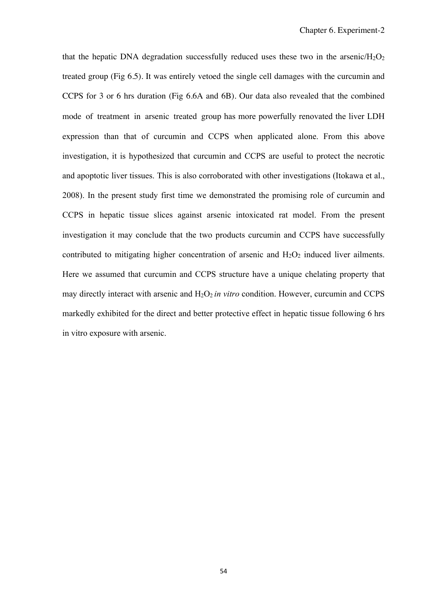that the hepatic DNA degradation successfully reduced uses these two in the arsenic/ $H_2O_2$ treated group (Fig 6.5). It was entirely vetoed the single cell damages with the curcumin and CCPS for 3 or 6 hrs duration (Fig 6.6A and 6B). Our data also revealed that the combined mode of treatment in arsenic treated group has more powerfully renovated the liver LDH expression than that of curcumin and CCPS when applicated alone. From this above investigation, it is hypothesized that curcumin and CCPS are useful to protect the necrotic and apoptotic liver tissues. This is also corroborated with other investigations (Itokawa et al., 2008). In the present study first time we demonstrated the promising role of curcumin and CCPS in hepatic tissue slices against arsenic intoxicated rat model. From the present investigation it may conclude that the two products curcumin and CCPS have successfully contributed to mitigating higher concentration of arsenic and  $H_2O_2$  induced liver ailments. Here we assumed that curcumin and CCPS structure have a unique chelating property that may directly interact with arsenic and  $H_2O_2$  *in vitro* condition. However, curcumin and CCPS markedly exhibited for the direct and better protective effect in hepatic tissue following 6 hrs in vitro exposure with arsenic.